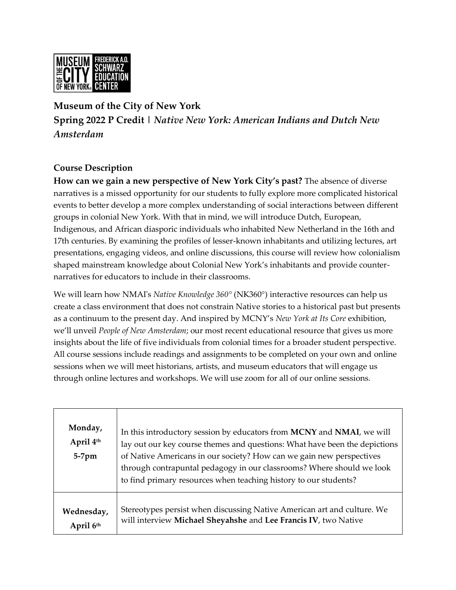

## **Museum of the City of New York Spring 2022 P Credit |** *Native New York: American Indians and Dutch New Amsterdam*

## **Course Description**

**How can we gain a new perspective of New York City's past?** The absence of diverse narratives is a missed opportunity for our students to fully explore more complicated historical events to better develop a more complex understanding of social interactions between different groups in colonial New York. With that in mind, we will introduce Dutch, European, Indigenous, and African diasporic individuals who inhabited New Netherland in the 16th and 17th centuries. By examining the profiles of lesser-known inhabitants and utilizing lectures, art presentations, engaging videos, and online discussions, this course will review how colonialism shaped mainstream knowledge about Colonial New York's inhabitants and provide counternarratives for educators to include in their classrooms.

We will learn how NMAI's *Native Knowledge 360°* (NK360°) interactive resources can help us create a class environment that does not constrain Native stories to a historical past but presents as a continuum to the present day. And inspired by MCNY's *New York at Its Core* exhibition, we'll unveil *People of New Amsterdam*; our most recent educational resource that gives us more insights about the life of five individuals from colonial times for a broader student perspective. All course sessions include readings and assignments to be completed on your own and online sessions when we will meet historians, artists, and museum educators that will engage us through online lectures and workshops. We will use zoom for all of our online sessions.

| Monday,<br>April 4th<br>$5-7$ pm | In this introductory session by educators from MCNY and NMAI, we will<br>lay out our key course themes and questions: What have been the depictions<br>of Native Americans in our society? How can we gain new perspectives<br>through contrapuntal pedagogy in our classrooms? Where should we look<br>to find primary resources when teaching history to our students? |
|----------------------------------|--------------------------------------------------------------------------------------------------------------------------------------------------------------------------------------------------------------------------------------------------------------------------------------------------------------------------------------------------------------------------|
| Wednesday,                       | Stereotypes persist when discussing Native American art and culture. We                                                                                                                                                                                                                                                                                                  |
| April 6th                        | will interview Michael Sheyahshe and Lee Francis IV, two Native                                                                                                                                                                                                                                                                                                          |